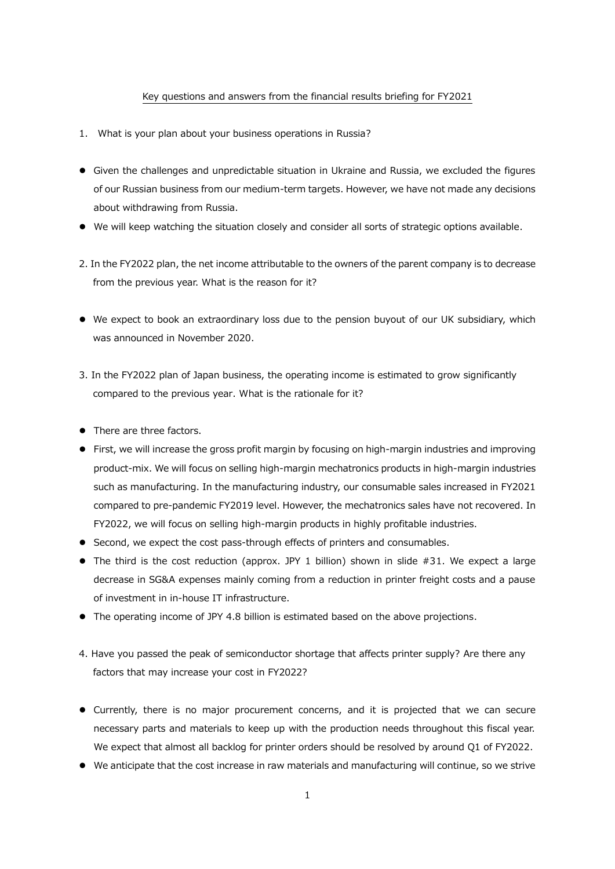## Key questions and answers from the financial results briefing for FY2021

- 1. What is your plan about your business operations in Russia?
- ⚫ Given the challenges and unpredictable situation in Ukraine and Russia, we excluded the figures of our Russian business from our medium-term targets. However, we have not made any decisions about withdrawing from Russia.
- ⚫ We will keep watching the situation closely and consider all sorts of strategic options available.
- 2. In the FY2022 plan, the net income attributable to the owners of the parent company is to decrease from the previous year. What is the reason for it?
- ⚫ We expect to book an extraordinary loss due to the pension buyout of our UK subsidiary, which was announced in November 2020.
- 3. In the FY2022 plan of Japan business, the operating income is estimated to grow significantly compared to the previous year. What is the rationale for it?
- There are three factors.
- ⚫ First, we will increase the gross profit margin by focusing on high-margin industries and improving product-mix. We will focus on selling high-margin mechatronics products in high-margin industries such as manufacturing. In the manufacturing industry, our consumable sales increased in FY2021 compared to pre-pandemic FY2019 level. However, the mechatronics sales have not recovered. In FY2022, we will focus on selling high-margin products in highly profitable industries.
- Second, we expect the cost pass-through effects of printers and consumables.
- $\bullet$  The third is the cost reduction (approx. JPY 1 billion) shown in slide #31. We expect a large decrease in SG&A expenses mainly coming from a reduction in printer freight costs and a pause of investment in in-house IT infrastructure.
- ⚫ The operating income of JPY 4.8 billion is estimated based on the above projections.
- 4. Have you passed the peak of semiconductor shortage that affects printer supply? Are there any factors that may increase your cost in FY2022?
- ⚫ Currently, there is no major procurement concerns, and it is projected that we can secure necessary parts and materials to keep up with the production needs throughout this fiscal year. We expect that almost all backlog for printer orders should be resolved by around Q1 of FY2022.
- ⚫ We anticipate that the cost increase in raw materials and manufacturing will continue, so we strive